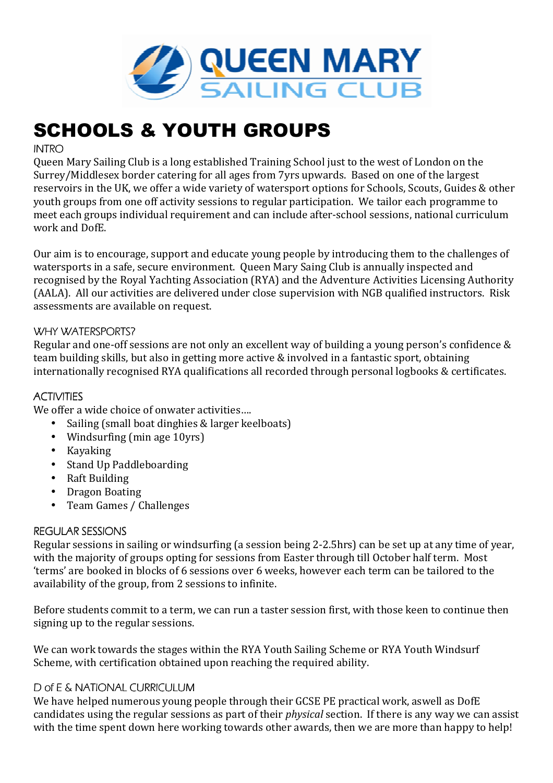

# SCHOOLS & YOUTH GROUPS

# **INTRO**

Queen Mary Sailing Club is a long established Training School just to the west of London on the Surrey/Middlesex border catering for all ages from 7yrs upwards. Based on one of the largest reservoirs in the UK, we offer a wide variety of watersport options for Schools, Scouts, Guides & other youth groups from one off activity sessions to regular participation. We tailor each programme to meet each groups individual requirement and can include after-school sessions, national curriculum work and DofE.

Our aim is to encourage, support and educate young people by introducing them to the challenges of watersports in a safe, secure environment. Queen Mary Saing Club is annually inspected and recognised by the Royal Yachting Association (RYA) and the Adventure Activities Licensing Authority (AALA). All our activities are delivered under close supervision with NGB qualified instructors. Risk assessments are available on request.

# WHY WATERSPORTS?

Regular and one-off sessions are not only an excellent way of building a young person's confidence & team building skills, but also in getting more active & involved in a fantastic sport, obtaining internationally recognised RYA qualifications all recorded through personal logbooks & certificates.

## **ACTIVITIES**

We offer a wide choice of onwater activities....

- Sailing (small boat dinghies & larger keelboats)
- Windsurfing (min age 10yrs)
- Kayaking
- Stand Up Paddleboarding
- Raft Building
- Dragon Boating
- Team Games / Challenges

#### REGULAR SESSIONS

Regular sessions in sailing or windsurfing (a session being 2-2.5hrs) can be set up at any time of year, with the majority of groups opting for sessions from Easter through till October half term. Most 'terms' are booked in blocks of 6 sessions over 6 weeks, however each term can be tailored to the availability of the group, from 2 sessions to infinite.

Before students commit to a term, we can run a taster session first, with those keen to continue then signing up to the regular sessions.

We can work towards the stages within the RYA Youth Sailing Scheme or RYA Youth Windsurf Scheme, with certification obtained upon reaching the required ability.

#### D of E & NATIONAL CURRICULUM

We have helped numerous young people through their GCSE PE practical work, aswell as DofE candidates using the regular sessions as part of their *physical* section. If there is any way we can assist with the time spent down here working towards other awards, then we are more than happy to help!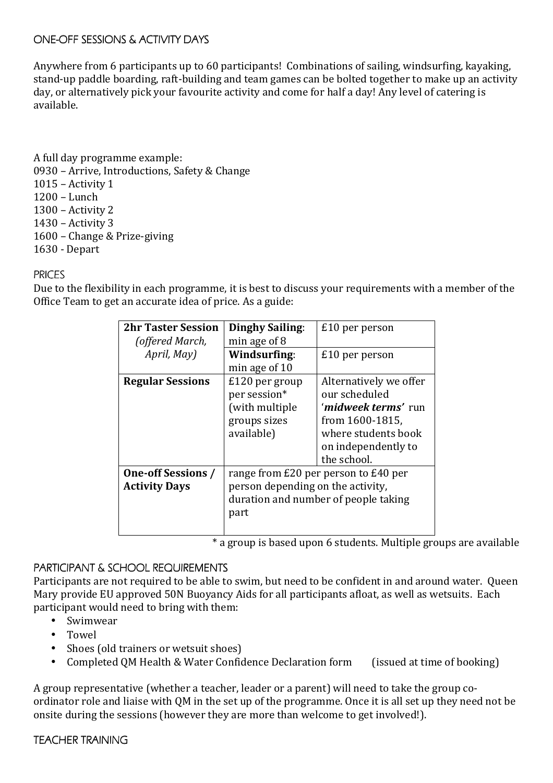#### ONE-OFF SESSIONS & ACTIVITY DAYS

Anywhere from 6 participants up to 60 participants! Combinations of sailing, windsurfing, kayaking, stand-up paddle boarding, raft-building and team games can be bolted together to make up an activity day, or alternatively pick your favourite activity and come for half a day! Any level of catering is available.

- A full day programme example: 0930 – Arrive, Introductions, Safety & Change 1015 – Activity 1 1200 – Lunch 1300 – Activity 2 1430 – Activity 3 1600 – Change & Prize-giving
- 1630 Depart

## PRICES

Due to the flexibility in each programme, it is best to discuss your requirements with a member of the Office Team to get an accurate idea of price. As a guide:

| <b>2hr Taster Session</b> | Dinghy Sailing:                      | £10 per person                     |
|---------------------------|--------------------------------------|------------------------------------|
| (offered March,           | min age of $8$                       |                                    |
| April, May)               | Windsurfing:                         | $£10$ per person                   |
|                           | min age of 10                        |                                    |
| <b>Regular Sessions</b>   | £120 per group                       | Alternatively we offer             |
|                           | per session*                         | our scheduled                      |
|                           | (with multiple                       | ' <b><i>midweek terms'</i></b> run |
|                           | groups sizes                         | from 1600-1815,                    |
|                           | available)                           | where students book                |
|                           |                                      | on independently to                |
|                           |                                      | the school.                        |
| <b>One-off Sessions /</b> | range from £20 per person to £40 per |                                    |
| <b>Activity Days</b>      | person depending on the activity,    |                                    |
|                           | duration and number of people taking |                                    |
|                           | part                                 |                                    |
|                           |                                      |                                    |

\* a group is based upon 6 students. Multiple groups are available

#### PARTICIPANT & SCHOOL REQUIREMENTS

Participants are not required to be able to swim, but need to be confident in and around water. Queen Mary provide EU approved 50N Buoyancy Aids for all participants afloat, as well as wetsuits. Each participant would need to bring with them:

- Swimwear
- Towel
- Shoes (old trainers or wetsuit shoes)
- Completed OM Health & Water Confidence Declaration form (issued at time of booking)

A group representative (whether a teacher, leader or a parent) will need to take the group coordinator role and liaise with QM in the set up of the programme. Once it is all set up they need not be onsite during the sessions (however they are more than welcome to get involved!).